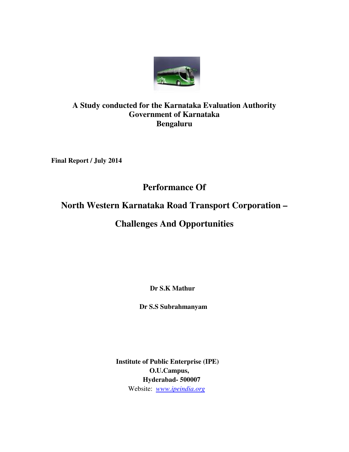

## **A Study conducted for the Karnataka Evaluation Authority Government of Karnataka Bengaluru**

**Final Report / July 2014** 

# **Performance Of**

# **North Western Karnataka Road Transport Corporation –**

# **Challenges And Opportunities**

 **Dr S.K Mathur** 

 **Dr S.S Subrahmanyam** 

 **Institute of Public Enterprise (IPE) O.U.Campus, Hyderabad- 500007**  Website: *www.ipeindia.org*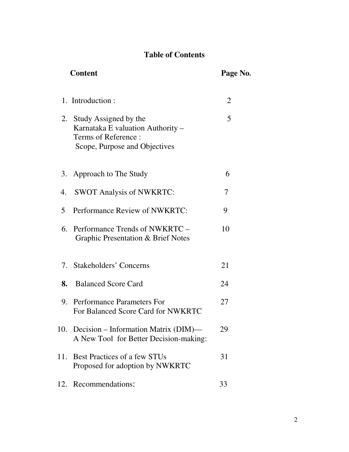# **Table of Contents**

|     | <b>Content</b>                                                                                                        | Page No. |
|-----|-----------------------------------------------------------------------------------------------------------------------|----------|
|     | 1. Introduction:                                                                                                      | 2        |
|     | 2. Study Assigned by the<br>Karnataka E valuation Authority -<br>Terms of Reference:<br>Scope, Purpose and Objectives | 5        |
|     | 3. Approach to The Study                                                                                              | 6        |
| 4.  | <b>SWOT Analysis of NWKRTC:</b>                                                                                       | 7        |
| 5   | Performance Review of NWKRTC:                                                                                         | 9        |
| 6.  | Performance Trends of NWKRTC –<br>Graphic Presentation & Brief Notes                                                  | 10       |
|     | 7. Stakeholders' Concerns                                                                                             | 21       |
| 8.  | <b>Balanced Score Card</b>                                                                                            | 24       |
|     | 9. Performance Parameters For<br>For Balanced Score Card for NWKRTC                                                   | 27       |
|     | 10. Decision – Information Matrix (DIM)—<br>A New Tool for Better Decision-making:                                    | 29       |
| 11. | <b>Best Practices of a few STUs</b><br>Proposed for adoption by NWKRTC                                                | 31       |
|     | 12. Recommendations:                                                                                                  | 33       |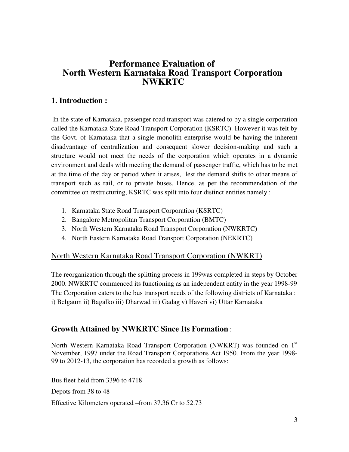## **Performance Evaluation of North Western Karnataka Road Transport Corporation NWKRTC**

### **1. Introduction :**

 In the state of Karnataka, passenger road transport was catered to by a single corporation called the Karnataka State Road Transport Corporation (KSRTC). However it was felt by the Govt. of Karnataka that a single monolith enterprise would be having the inherent disadvantage of centralization and consequent slower decision-making and such a structure would not meet the needs of the corporation which operates in a dynamic environment and deals with meeting the demand of passenger traffic, which has to be met at the time of the day or period when it arises, lest the demand shifts to other means of transport such as rail, or to private buses. Hence, as per the recommendation of the committee on restructuring, KSRTC was spilt into four distinct entities namely :

- 1. Karnataka State Road Transport Corporation (KSRTC)
- 2. Bangalore Metropolitan Transport Corporation (BMTC)
- 3. North Western Karnataka Road Transport Corporation (NWKRTC)
- 4. North Eastern Karnataka Road Transport Corporation (NEKRTC)

#### North Western Karnataka Road Transport Corporation (NWKRT)

The reorganization through the splitting process in 199was completed in steps by October 2000. NWKRTC commenced its functioning as an independent entity in the year 1998-99 The Corporation caters to the bus transport needs of the following districts of Karnataka : i) Belgaum ii) Bagalko iii) Dharwad iii) Gadag v) Haveri vi) Uttar Karnataka

### **Growth Attained by NWKRTC Since Its Formation** :

North Western Karnataka Road Transport Corporation (NWKRT) was founded on 1<sup>st</sup> November, 1997 under the Road Transport Corporations Act 1950. From the year 1998- 99 to 2012-13, the corporation has recorded a growth as follows:

Bus fleet held from 3396 to 4718 Depots from 38 to 48 Effective Kilometers operated –from 37.36 Cr to 52.73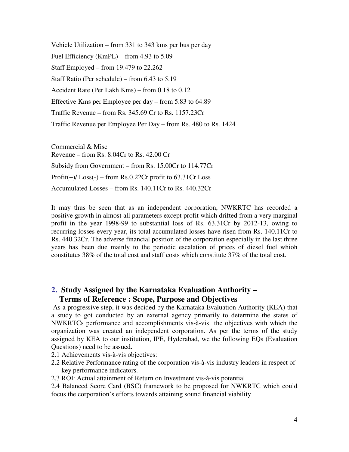Vehicle Utilization – from 331 to 343 kms per bus per day Fuel Efficiency (KmPL) – from 4.93 to 5.09 Staff Employed – from 19.479 to 22.262 Staff Ratio (Per schedule) – from 6.43 to 5.19 Accident Rate (Per Lakh Kms) – from 0.18 to 0.12 Effective Kms per Employee per day – from 5.83 to 64.89 Traffic Revenue – from Rs. 345.69 Cr to Rs. 1157.23Cr Traffic Revenue per Employee Per Day – from Rs. 480 to Rs. 1424

Commercial & Misc Revenue – from Rs. 8.04Cr to Rs. 42.00 Cr Subsidy from Government – from Rs. 15.00Cr to 114.77Cr Profit $(+)/$  Loss $(-)$  – from Rs.0.22Cr profit to 63.31Cr Loss Accumulated Losses – from Rs. 140.11Cr to Rs. 440.32Cr

It may thus be seen that as an independent corporation, NWKRTC has recorded a positive growth in almost all parameters except profit which drifted from a very marginal profit in the year 1998-99 to substantial loss of Rs. 63.31Cr by 2012-13, owing to recurring losses every year, its total accumulated losses have risen from Rs. 140.11Cr to Rs. 440.32Cr. The adverse financial position of the corporation especially in the last three years has been due mainly to the periodic escalation of prices of diesel fuel whioh constitutes 38% of the total cost and staff costs which constitute 37% of the total cost.

### **2. Study Assigned by the Karnataka Evaluation Authority – Terms of Reference : Scope, Purpose and Objectives**

 As a progressive step, it was decided by the Karnataka Evaluation Authority (KEA) that a study to got conducted by an external agency primarily to determine the states of NWKRTCs performance and accomplishments vis-à-vis the objectives with which the organization was created an independent corporation. As per the terms of the study assigned by KEA to our institution, IPE, Hyderabad, we the following EQs (Evaluation Questions) need to be assued.

- 2.1 Achievements vis-à-vis objectives:
- 2.2 Relative Performance rating of the corporation vis-à-vis industry leaders in respect of key performance indicators.
- 2.3 ROI: Actual attainment of Return on Investment vis-à-vis potential

2.4 Balanced Score Card (BSC) framework to be proposed for NWKRTC which could focus the corporation's efforts towards attaining sound financial viability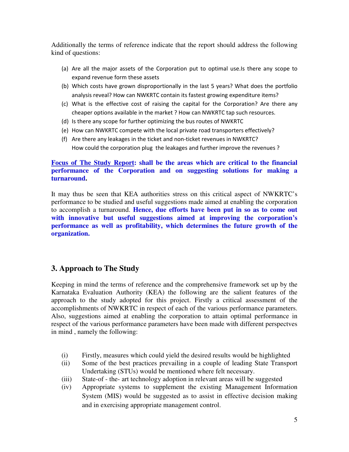Additionally the terms of reference indicate that the report should address the following kind of questions:

- (a) Are all the major assets of the Corporation put to optimal use.Is there any scope to expand revenue form these assets
- (b) Which costs have grown disproportionally in the last 5 years? What does the portfolio analysis reveal? How can NWKRTC contain its fastest growing expenditure items?
- (c) What is the effective cost of raising the capital for the Corporation? Are there any cheaper options available in the market ? How can NWKRTC tap such resources.
- (d) Is there any scope for further optimizing the bus routes of NWKRTC
- (e) How can NWKRTC compete with the local private road transporters effectively?
- (f) Are there any leakages in the ticket and non-ticket revenues in NWKRTC? How could the corporation plug the leakages and further improve the revenues ?

#### **Focus of The Study Report: shall be the areas which are critical to the financial performance of the Corporation and on suggesting solutions for making a turnaround.**

It may thus be seen that KEA authorities stress on this critical aspect of NWKRTC's performance to be studied and useful suggestions made aimed at enabling the corporation to accomplish a turnaround. **Hence, due efforts have been put in so as to come out with innovative but useful suggestions aimed at improving the corporation's performance as well as profitability, which determines the future growth of the organization.** 

### **3. Approach to The Study**

Keeping in mind the terms of reference and the comprehensive framework set up by the Karnataka Evaluation Authority (KEA) the following are the salient features of the approach to the study adopted for this project. Firstly a critical assessment of the accomplishments of NWKRTC in respect of each of the various performance parameters. Also, suggestions aimed at enabling the corporation to attain optimal performance in respect of the various performance parameters have been made with different perspectves in mind , namely the following:

- (i) Firstly, measures which could yield the desired results would be highlighted
- (ii) Some of the best practices prevailing in a couple of leading State Transport Undertaking (STUs) would be mentioned where felt necessary.
- (iii) State-of the- art technology adoption in relevant areas will be suggested
- (iv) Appropriate systems to supplement the existing Management Information System (MIS) would be suggested as to assist in effective decision making and in exercising appropriate management control.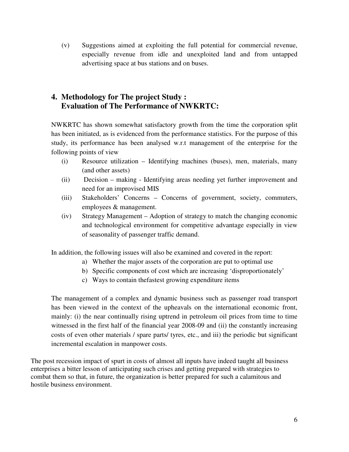(v) Suggestions aimed at exploiting the full potential for commercial revenue, especially revenue from idle and unexploited land and from untapped advertising space at bus stations and on buses.

### **4. Methodology for The project Study : Evaluation of The Performance of NWKRTC:**

NWKRTC has shown somewhat satisfactory growth from the time the corporation split has been initiated, as is evidenced from the performance statistics. For the purpose of this study, its performance has been analysed w.r.t management of the enterprise for the following points of view

- (i) Resource utilization Identifying machines (buses), men, materials, many (and other assets)
- (ii) Decision making Identifying areas needing yet further improvement and need for an improvised MIS
- (iii) Stakeholders' Concerns Concerns of government, society, commuters, employees & management.
- (iv) Strategy Management Adoption of strategy to match the changing economic and technological environment for competitive advantage especially in view of seasonality of passenger traffic demand.

In addition, the following issues will also be examined and covered in the report:

- a) Whether the major assets of the corporation are put to optimal use
- b) Specific components of cost which are increasing 'disproportionately'
- c) Ways to contain thefastest growing expenditure items

The management of a complex and dynamic business such as passenger road transport has been viewed in the context of the upheavals on the international economic front, mainly: (i) the near continually rising uptrend in petroleum oil prices from time to time witnessed in the first half of the financial year 2008-09 and (ii) the constantly increasing costs of even other materials / spare parts/ tyres, etc., and iii) the periodic but significant incremental escalation in manpower costs.

The post recession impact of spurt in costs of almost all inputs have indeed taught all business enterprises a bitter lesson of anticipating such crises and getting prepared with strategies to combat them so that, in future, the organization is better prepared for such a calamitous and hostile business environment.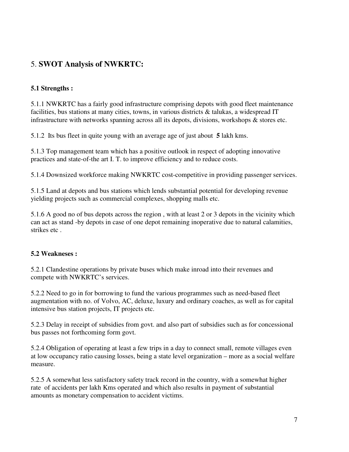## 5. **SWOT Analysis of NWKRTC:**

#### **5.1 Strengths :**

5.1.1 NWKRTC has a fairly good infrastructure comprising depots with good fleet maintenance facilities, bus stations at many cities, towns, in various districts & talukas, a widespread IT infrastructure with networks spanning across all its depots, divisions, workshops & stores etc.

5.1.2 Its bus fleet in quite young with an average age of just about **5** lakh kms.

5.1.3 Top management team which has a positive outlook in respect of adopting innovative practices and state-of-the art I. T. to improve efficiency and to reduce costs.

5.1.4 Downsized workforce making NWKRTC cost-competitive in providing passenger services.

5.1.5 Land at depots and bus stations which lends substantial potential for developing revenue yielding projects such as commercial complexes, shopping malls etc.

5.1.6 A good no of bus depots across the region , with at least 2 or 3 depots in the vicinity which can act as stand -by depots in case of one depot remaining inoperative due to natural calamities, strikes etc .

#### **5.2 Weakneses :**

5.2.1 Clandestine operations by private buses which make inroad into their revenues and compete with NWKRTC's services.

5.2.2 Need to go in for borrowing to fund the various programmes such as need-based fleet augmentation with no. of Volvo, AC, deluxe, luxury and ordinary coaches, as well as for capital intensive bus station projects, IT projects etc.

5.2.3 Delay in receipt of subsidies from govt. and also part of subsidies such as for concessional bus passes not forthcoming form govt.

5.2.4 Obligation of operating at least a few trips in a day to connect small, remote villages even at low occupancy ratio causing losses, being a state level organization – more as a social welfare measure.

5.2.5 A somewhat less satisfactory safety track record in the country, with a somewhat higher rate of accidents per lakh Kms operated and which also results in payment of substantial amounts as monetary compensation to accident victims.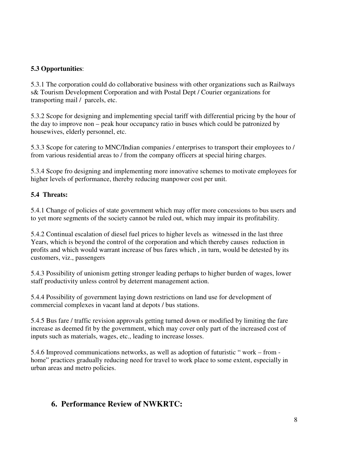#### **5.3 Opportunities**:

5.3.1 The corporation could do collaborative business with other organizations such as Railways s& Tourism Development Corporation and with Postal Dept / Courier organizations for transporting mail / parcels, etc.

5.3.2 Scope for designing and implementing special tariff with differential pricing by the hour of the day to improve non – peak hour occupancy ratio in buses which could be patronized by housewives, elderly personnel, etc.

5.3.3 Scope for catering to MNC/Indian companies / enterprises to transport their employees to / from various residential areas to / from the company officers at special hiring charges.

5.3.4 Scope fro designing and implementing more innovative schemes to motivate employees for higher levels of performance, thereby reducing manpower cost per unit.

#### **5.4 Threats:**

5.4.1 Change of policies of state government which may offer more concessions to bus users and to yet more segments of the society cannot be ruled out, which may impair its profitability.

5.4.2 Continual escalation of diesel fuel prices to higher levels as witnessed in the last three Years, which is beyond the control of the corporation and which thereby causes reduction in profits and which would warrant increase of bus fares which , in turn, would be detested by its customers, viz., passengers

5.4.3 Possibility of unionism getting stronger leading perhaps to higher burden of wages, lower staff productivity unless control by deterrent management action.

5.4.4 Possibility of government laying down restrictions on land use for development of commercial complexes in vacant land at depots / bus stations.

5.4.5 Bus fare / traffic revision approvals getting turned down or modified by limiting the fare increase as deemed fit by the government, which may cover only part of the increased cost of inputs such as materials, wages, etc., leading to increase losses.

5.4.6 Improved communications networks, as well as adoption of futuristic " work – from home" practices gradually reducing need for travel to work place to some extent, especially in urban areas and metro policies.

## **6. Performance Review of NWKRTC:**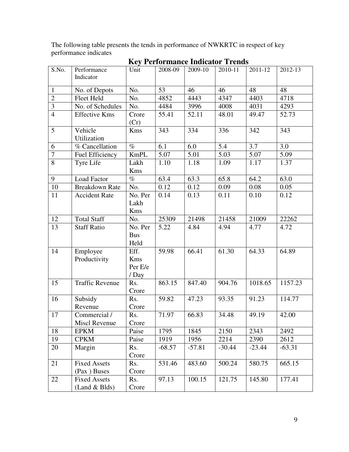The following table presents the tends in performance of NWKRTC in respect of key performance indicates

| $\overline{S}$ . No. | Performance<br>Indicator             | Unit                            | 2008-09  | 2009-10           | 2010-11           | 2011-12  | 2012-13           |
|----------------------|--------------------------------------|---------------------------------|----------|-------------------|-------------------|----------|-------------------|
|                      |                                      |                                 |          |                   |                   |          |                   |
| $\mathbf{1}$         | No. of Depots                        | No.                             | 53       | 46                | 46                | 48       | 48                |
| $\overline{2}$       | Fleet Held                           | No.                             | 4852     | 4443              | 4347              | 4403     | 4718              |
| $\overline{3}$       | No. of Schedules                     | No.                             | 4484     | 3996              | 4008              | 4031     | 4293              |
| $\overline{4}$       | <b>Effective Kms</b>                 | Crore<br>(Cr)                   | 55.41    | 52.11             | 48.01             | 49.47    | 52.73             |
| $\overline{5}$       | Vehicle<br>Utilization               | Kms                             | 343      | 334               | 336               | 342      | 343               |
| 6                    | % Cancellation                       | $\%$                            | 6.1      | 6.0               | 5.4               | 3.7      | 3.0               |
| $\overline{7}$       | Fuel Efficiency                      | <b>KmPL</b>                     | 5.07     | $\overline{5.01}$ | $\overline{5.03}$ | 5.07     | $\overline{5.09}$ |
| 8                    | Tyre Life                            | Lakh<br>Kms                     | 1.10     | 1.18              | 1.09              | 1.17     | 1.37              |
| 9                    | Load Factor                          | $\%$                            | 63.4     | 63.3              | 65.8              | 64.2     | 63.0              |
| 10                   | <b>Breakdown Rate</b>                | No.                             | 0.12     | 0.12              | 0.09              | 0.08     | 0.05              |
| 11                   | <b>Accident Rate</b>                 | No. Per<br>Lakh<br><b>Kms</b>   | 0.14     | 0.13              | 0.11              | 0.10     | 0.12              |
| 12                   | <b>Total Staff</b>                   | No.                             | 25309    | 21498             | 21458             | 21009    | 22262             |
| 13                   | <b>Staff Ratio</b>                   | No. Per<br><b>Bus</b><br>Held   | 5.22     | 4.84              | 4.94              | 4.77     | 4.72              |
| 14                   | Employee<br>Productivity             | Eff.<br>Kms<br>Per E/e<br>/ Day | 59.98    | 66.41             | 61.30             | 64.33    | 64.89             |
| 15                   | <b>Traffic Revenue</b>               | Rs.<br>Crore                    | 863.15   | 847.40            | 904.76            | 1018.65  | 1157.23           |
| 16                   | Subsidy<br>Revenue                   | Rs.<br>Crore                    | 59.82    | 47.23             | 93.35             | 91.23    | 114.77            |
| 17                   | Commercial /<br>Miscl Revenue        | Rs.<br>Crore                    | 71.97    | 66.83             | 34.48             | 49.19    | 42.00             |
| 18                   | <b>EPKM</b>                          | Paise                           | 1795     | 1845              | 2150              | 2343     | 2492              |
| 19                   | <b>CPKM</b>                          | Paise                           | 1919     | 1956              | 2214              | 2390     | 2612              |
| 20                   | Margin                               | Rs.<br>Crore                    | $-68.57$ | $-57.81$          | $-30.44$          | $-23.44$ | $-63.31$          |
| 21                   | <b>Fixed Assets</b><br>(Pax) Buses   | Rs.<br>Crore                    | 531.46   | 483.60            | 500.24            | 580.75   | 665.15            |
| 22                   | <b>Fixed Assets</b><br>(Land & Blds) | Rs.<br>Crore                    | 97.13    | 100.15            | 121.75            | 145.80   | 177.41            |

**Key Performance Indicator Trends**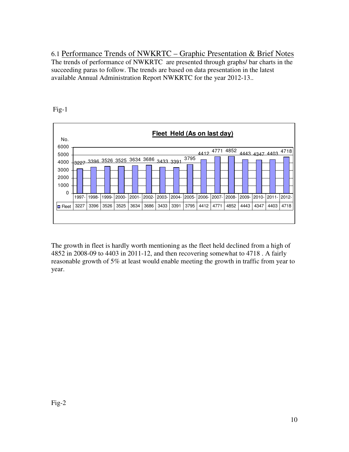6.1 Performance Trends of NWKRTC – Graphic Presentation & Brief Notes The trends of performance of NWKRTC are presented through graphs/ bar charts in the succeeding paras to follow. The trends are based on data presentation in the latest available Annual Administration Report NWKRTC for the year 2012-13..

| No.<br>6000                       |                                                                                        |       |       |       |          |       |       |       | Fleet Held (As on last day) |       |          |           |       |          |       |          |
|-----------------------------------|----------------------------------------------------------------------------------------|-------|-------|-------|----------|-------|-------|-------|-----------------------------|-------|----------|-----------|-------|----------|-------|----------|
|                                   |                                                                                        |       |       |       |          |       |       |       |                             | 4412  |          | 4771 4852 |       |          |       | 4718     |
| 4000<br>3000<br>2000<br>1000<br>0 | 4443 4347 4403<br>5000<br>3795<br>  <sub>3227</sub> 3396 3526 3525 3634 3686 3433 3391 |       |       |       |          |       |       |       |                             |       |          |           |       |          |       |          |
|                                   | 1997-                                                                                  | 1998- | 1999- | 2000- | $2001 -$ | 2002- | 2003- | 2004- | 2005-                       | 2006- | $2007 -$ | 2008-     | 2009- | $2010 -$ | 2011- | $2012 -$ |
| $\blacksquare$ Fleet              | 3227                                                                                   | 3396  | 3526  | 3525  | 3634     | 3686  | 3433  | 3391  | 3795                        | 4412  | 4771     | 4852      | 4443  | 4347     | 4403  | 4718     |
|                                   |                                                                                        |       |       |       |          |       |       |       |                             |       |          |           |       |          |       |          |

Fig-1

The growth in fleet is hardly worth mentioning as the fleet held declined from a high of 4852 in 2008-09 to 4403 in 2011-12, and then recovering somewhat to 4718 . A fairly reasonable growth of 5% at least would enable meeting the growth in traffic from year to year.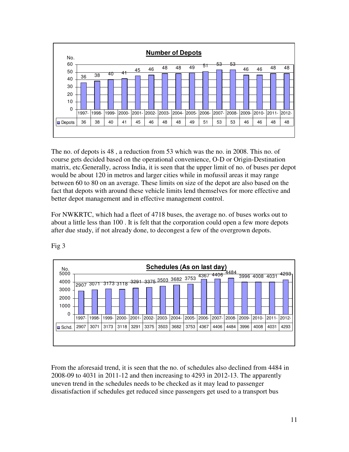

The no. of depots is 48 , a reduction from 53 which was the no. in 2008. This no. of course gets decided based on the operational convenience, O-D or Origin-Destination matrix, etc.Generally, across India, it is seen that the upper limit of no. of buses per depot would be about 120 in metros and larger cities while in mofussil areas it may range between 60 to 80 on an average. These limits on size of the depot are also based on the fact that depots with around these vehicle limits lend themselves for more effective and better depot management and in effective management control.

For NWKRTC, which had a fleet of 4718 buses, the average no. of buses works out to about a little less than 100 . It is felt that the corporation could open a few more depots after due study, if not already done, to decongest a few of the overgrown depots.

| No.<br>5000       |       |       |                |       |          |                          |       | Schedules (As on last day) |       |       |           | 4484  |       |       |          | <del>4293</del> |
|-------------------|-------|-------|----------------|-------|----------|--------------------------|-------|----------------------------|-------|-------|-----------|-------|-------|-------|----------|-----------------|
| 4000<br>3000      | 2907  |       | 3071 3173 3118 |       |          | 3291 3375 3503 3682 3753 |       |                            |       |       | 4367 4406 |       | 3996  | 4008  | 4031     |                 |
| 2000<br>1000<br>0 |       |       |                |       |          |                          |       |                            |       |       |           |       |       |       |          |                 |
|                   | 1997- | 1998- | 1999-          | 2000- | $2001 -$ | 2002-                    | 2003- | 2004-                      | 2005- | 2006- | 2007-     | 2008- | 2009- | 2010- | $2011 -$ | 2012-           |
| $\Box$ Schd.      | 2907  | 3071  | 3173           | 3118  | 3291     | 3375                     | 3503  | 3682                       | 3753  | 4367  | 4406      | 4484  | 3996  | 4008  | 4031     | 4293            |
|                   |       |       |                |       |          |                          |       |                            |       |       |           |       |       |       |          |                 |

Fig 3

From the aforesaid trend, it is seen that the no. of schedules also declined from 4484 in 2008-09 to 4031 in 2011-12 and then increasing to 4293 in 2012-13. The apparently uneven trend in the schedules needs to be checked as it may lead to passenger dissatisfaction if schedules get reduced since passengers get used to a transport bus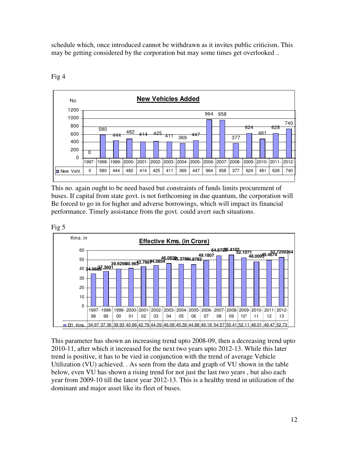schedule which, once introduced cannot be withdrawn as it invites public criticism. This may be getting considered by the corporation but may some times get overlooked ..



Fig 4

This no. again ought to be need based but constraints of funds limits procurement of buses. If capital from state govt. is not forthcoming in due quantum, the corporation will Be forced to go in for higher and adverse borrowings, which will impact its financial performance. Timely assistance from the govt. could avert such situations.





This parameter has shown an increasing trend upto 2008-09, then a decreasing trend upto 2010-11, after which it increased for the next two years upto 2012-13. While this later trend is positive, it has to be vied in conjunction with the trend of average Vehicle Utilization (VU) achieved. . As seen from the data and graph of VU shown in the table below, even VU has shown a rising trend for not just the last two years , but also each year from 2009-10 till the latest year 2012-13. This is a healthy trend in utilization of the dominant and major asset like its fleet of buses.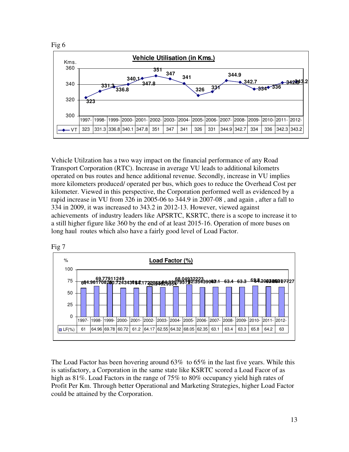

Vehicle Utilzation has a two way impact on the financial performance of any Road Transport Corporation (RTC). Increase in average VU leads to additional kilometrs operated on bus routes and hence additional revenue. Secondly, increase in VU implies more kilometers produced/ operated per bus, which goes to reduce the Overhead Cost per kilometer. Viewed in this perspective, the Corporation performed well as evidenced by a rapid increase in VU from 326 in 2005-06 to 344.9 in 2007-08 , and again , after a fall to 334 in 2009, it was increased to 343.2 in 2012-13. However, viewed against achievements of industry leaders like APSRTC, KSRTC, there is a scope to increase it to a still higher figure like 360 by the end of at least 2015-16. Operation of more buses on long haul routes which also have a fairly good level of Load Factor.



The Load Factor has been hovering around  $63\%$  to  $65\%$  in the last five years. While this is satisfactory, a Corporation in the same state like KSRTC scored a Load Facor of as high as 81%. Load Factors in the range of 75% to 80% occupancy yield high rates of Profit Per Km. Through better Operational and Marketing Strategies, higher Load Factor could be attained by the Corporation.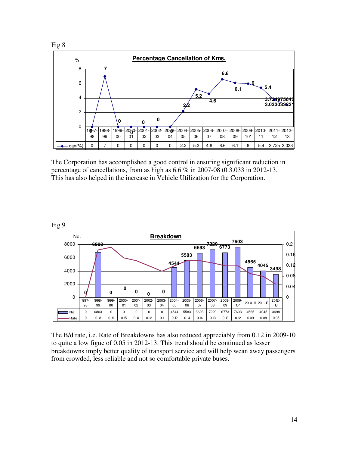

The Corporation has accomplished a good control in ensuring significant reduction in percentage of cancellations, from as high as 6.6 % in 2007-08 t0 3.033 in 2012-13. This has also helped in the increase in Vehicle Utilization for the Corporation.



The B/d rate, i.e. Rate of Breakdowns has also reduced appreciably from 0.12 in 2009-10 to quite a low figue of 0.05 in 2012-13. This trend should be continued as lesser breakdowns imply better quality of transport service and will help wean away passengers from crowded, less reliable and not so comfortable private buses.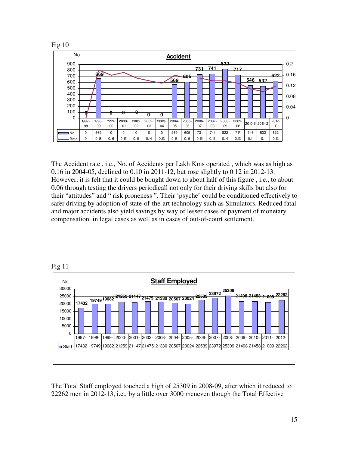



The Accident rate , i.e., No. of Accidents per Lakh Kms operated , which was as high as 0.16 in 2004-05, declined to 0.10 in 2011-12, but rose slightly to 0.12 in 2012-13. However, it is felt that it could be bought down to about half of this figure , i.e., to about 0.06 through testing the drivers periodicall not only for their driving skills but also for their "attitudes" and " risk proneness ". Their 'psyche' could be conditioned effectively to safer driving by adoption of state-of-the-art technology such as Simulators. Reduced fatal and major accidents also yield savings by way of lesser cases of payment of monetary compensation. in legal cases as well as in cases of out-of-court settlement.





The Total Staff employed touched a high of 25309 in 2008-09, after which it reduced to 22262 men in 2012-13, i.e., by a little over 3000 meneven though the Total Effective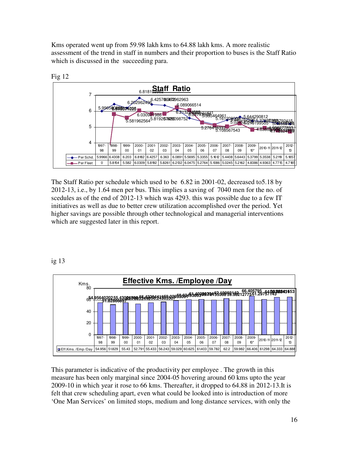Kms operated went up from 59.98 lakh kms to 64.88 lakh kms. A more realistic assessment of the trend in staff in numbers and their proportion to buses is the Staff Ratio which is discussed in the succeeding para.





The Staff Ratio per schedule which used to be 6.82 in 2001-02, decreased to5.18 by 2012-13, i.e., by 1.64 men per bus. This implies a saving of 7040 men for the no. of scedules as of the end of 2012-13 which was 4293. this was possible due to a few IT initiatives as well as due to better crew utilization accomplished over the period. Yet higher savings are possible through other technological and managerial interventions which are suggested later in this report.





This parameter is indicative of the productivity per employee . The growth in this measure has been only marginal since 2004-05 hovering around 60 kms upto the year 2009-10 in which year it rose to 66 kms. Thereafter, it dropped to 64.88 in 2012-13.It is felt that crew scheduling apart, even what could be looked into is introduction of more 'One Man Services' on limited stops, medium and long distance services, with only the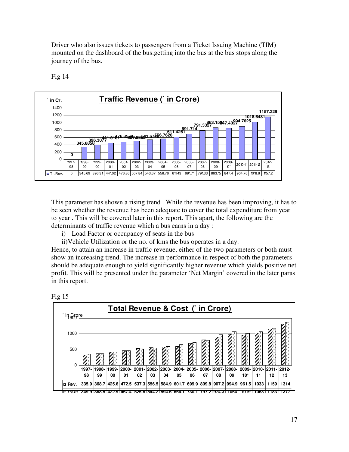Driver who also issues tickets to passengers from a Ticket Issuing Machine (TIM) mounted on the dashboard of the bus.getting into the bus at the bus stops along the journey of the bus.



Fig 14

This parameter has shown a rising trend . While the revenue has been improving, it has to be seen whether the revenue has been adequate to cover the total expenditure from year to year . This will be covered later in this report. This apart, the following are the determinants of traffic revenue which a bus earns in a day :

i) Load Factor or occupancy of seats in the bus

ii)Vehicle Utilization or the no. of kms the bus operates in a day.

Hence, to attain an increase in traffic revenue, either of the two parameters or both must show an increasing trend. The increase in performance in respect of both the parameters should be adequate enough to yield significantly higher revenue which yields positive net profit. This will be presented under the parameter 'Net Margin' covered in the later paras in this report.



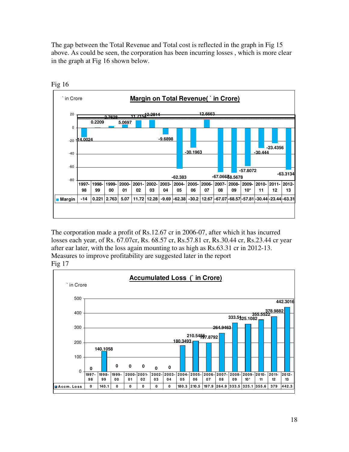The gap between the Total Revenue and Total cost is reflected in the graph in Fig 15 above. As could be seen, the corporation has been incurring losses , which is more clear in the graph at Fig 16 shown below.



Fig 16

The corporation made a profit of Rs.12.67 cr in 2006-07, after which it has incurred losses each year, of Rs. 67.07cr, Rs. 68.57 cr, Rs.57.81 cr, Rs.30.44 cr, Rs.23.44 cr year after ear later, with the loss again mounting to as high as Rs.63.31 cr in 2012-13. Measures to improve profitability are suggested later in the report Fig 17

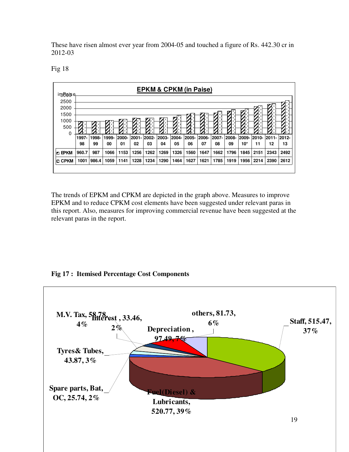These have risen almost ever year from 2004-05 and touched a figure of Rs. 442.30 cr in 2012-03

Fig 18

|              | <b>EPKM &amp; CPKM (in Paise)</b> |       |       |      |      |      |      |                                     |      |              |      |       |      |      |                      |      |
|--------------|-----------------------------------|-------|-------|------|------|------|------|-------------------------------------|------|--------------|------|-------|------|------|----------------------|------|
| in309@inse   |                                   |       |       |      |      |      |      |                                     |      |              |      |       |      |      |                      |      |
| 2500         |                                   |       |       |      |      |      |      |                                     |      |              |      |       |      |      |                      |      |
| 2000         |                                   |       |       |      |      |      |      |                                     |      |              |      |       |      |      |                      |      |
| 1500         |                                   |       |       |      |      |      |      |                                     |      |              |      |       |      |      |                      |      |
| 1000         |                                   |       |       |      |      |      |      |                                     |      |              |      |       |      |      |                      |      |
| 500          |                                   |       |       |      |      |      |      |                                     |      |              |      |       |      |      |                      |      |
| 0            |                                   |       |       |      |      |      |      |                                     |      |              |      |       |      |      |                      |      |
|              | 1997-                             | 1998- | 1999- |      |      |      |      | 2000- 2001- 2002- 2003- 2004- 2005- |      | 2006-  2007- |      | 2008- |      |      | 2009-2010-2011-2012- |      |
|              | 98                                | 99    | 00    | 01   | 02   | 03   | 04   | 05                                  | 06   | 07           | 08   | 09    | 10*  | 11   | 12                   | 13   |
| <b>ZEPKM</b> | 960.7                             | 987   | 1066  | 1153 | 1256 | 1262 | 1269 | 1326                                | 1560 | 1647         | 1662 | 1796  | 1845 | 2151 | 2343                 | 2492 |
| lם CPKM      | 1001                              | 986.4 | 1059  | 1141 | 1228 | 1234 | 1290 | 1464                                | 1627 | 1621         | 1785 | 1919  | 1956 | 2214 | 2390                 | 2612 |
|              |                                   |       |       |      |      |      |      |                                     |      |              |      |       |      |      |                      |      |

The trends of EPKM and CPKM are depicted in the graph above. Measures to improve EPKM and to reduce CPKM cost elements have been suggested under relevant paras in this report. Also, measures for improving commercial revenue have been suggested at the relevant paras in the report.

#### **Fig 17 : Itemised Percentage Cost Components**

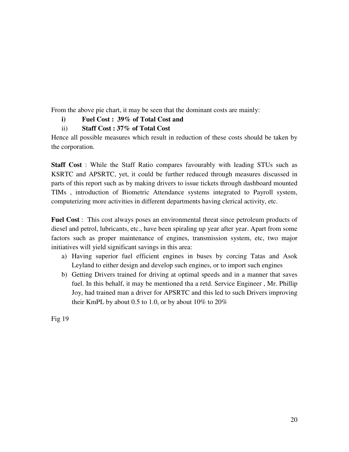From the above pie chart, it may be seen that the dominant costs are mainly:

#### **i) Fuel Cost : 39% of Total Cost and**

#### ii) **Staff Cost : 37% of Total Cost**

Hence all possible measures which result in reduction of these costs should be taken by the corporation.

**Staff Cost** : While the Staff Ratio compares favourably with leading STUs such as KSRTC and APSRTC, yet, it could be further reduced through measures discussed in parts of this report such as by making drivers to issue tickets through dashboard mounted TIMs , introduction of Biometric Attendance systems integrated to Payroll system, computerizing more activities in different departments having clerical activity, etc.

**Fuel Cost** : This cost always poses an environmental threat since petroleum products of diesel and petrol, lubricants, etc., have been spiraling up year after year. Apart from some factors such as proper maintenance of engines, transmission system, etc, two major initiatives will yield significant savings in this area:

- a) Having superior fuel efficient engines in buses by corcing Tatas and Asok Leyland to either design and develop such engines, or to import such engines
- b) Getting Drivers trained for driving at optimal speeds and in a manner that saves fuel. In this behalf, it may be mentioned tha a retd. Service Engineer , Mr. Phillip Joy, had trained man a driver for APSRTC and this led to such Drivers improving their KmPL by about 0.5 to 1.0, or by about 10% to 20%

Fig 19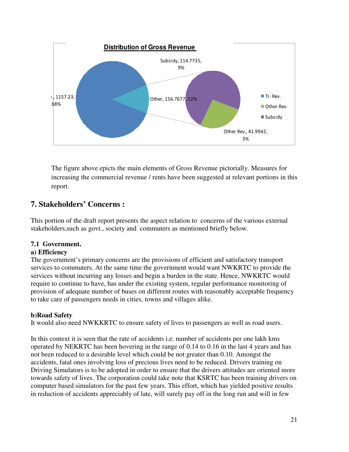

The figure above epicts the main elements of Gross Revenue pictorially. Measures for increasing the commercial revenue / rents have been suggested at relevant portions in this report.

### **7. Stakeholders' Concerns :**

This portion of the draft report presents the aspect relation to concerns of the various external stakeholders,such as govt., society and commuters as mentioned briefly below.

### **7.1 Government.**

#### **a) Efficiency**

The government's primary concerns are the provisions of efficient and satisfactory transport services to commuters. At the same time the government would want NWKRTC to provide the services without incurring any losses and begin a burden in the state. Hence, NWKRTC would require to continue to have, has under the existing system, regular performance monitoring of provision of adequate number of buses on different routes with reasonably acceptable frequency to take care of passengers needs in cities, towns and villages alike.

#### **b)Road Safety**

It would also need NWKKRTC to ensure safety of lives to passengers as well as road users.

In this context it is seen that the rate of accidents i.e. number of accidents per one lakh kms operated by NEKRTC has been hovering in the range of 0.14 to 0.16 in the last 4 years and has not been reduced to a desirable level which could be not greater than 0.10. Amongst the accidents, fatal ones involving loss of precious lives need to be reduced. Drivers training on Driving Simulators is to be adopted in order to ensure that the drivers attitudes are oriented more towards safety of lives. The corporation could take note that KSRTC has been training drivers on computer based simulators for the past few years. This effort, which has yielded positive results in reduction of accidents appreciably of late, will surely pay off in the long run and will in few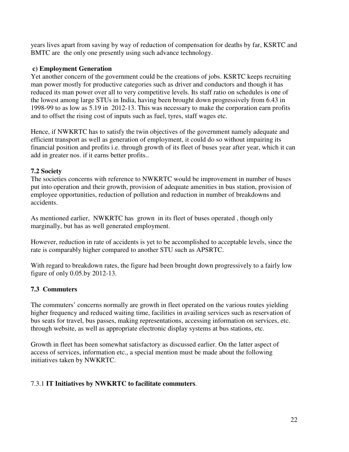years lives apart from saving by way of reduction of compensation for deaths by far, KSRTC and BMTC are the only one presently using such advance technology.

#### **c) Employment Generation**

Yet another concern of the government could be the creations of jobs. KSRTC keeps recruiting man power mostly for productive categories such as driver and conductors and though it has reduced its man power over all to very competitive levels. Its staff ratio on schedules is one of the lowest among large STUs in India, having been brought down progressively from 6.43 in 1998-99 to as low as 5.19 in 2012-13. This was necessary to make the corporation earn profits and to offset the rising cost of inputs such as fuel, tyres, staff wages etc.

Hence, if NWKRTC has to satisfy the twin objectives of the government namely adequate and efficient transport as well as generation of employment, it could do so without impairing its financial position and profits i.e. through growth of its fleet of buses year after year, which it can add in greater nos. if it earns better profits..

#### **7.2 Society**

The societies concerns with reference to NWKRTC would be improvement in number of buses put into operation and their growth, provision of adequate amenities in bus station, provision of employee opportunities, reduction of pollution and reduction in number of breakdowns and accidents.

As mentioned earlier, NWKRTC has grown in its fleet of buses operated , though only marginally, but has as well generated employment.

However, reduction in rate of accidents is yet to be accomplished to acceptable levels, since the rate is comparably higher compared to another STU such as APSRTC.

With regard to breakdown rates, the figure had been brought down progressively to a fairly low figure of only 0.05.by 2012-13.

#### **7.3 Commuters**

The commuters' concerns normally are growth in fleet operated on the various routes yielding higher frequency and reduced waiting time, facilities in availing services such as reservation of bus seats for travel, bus passes, making representations, accessing information on services, etc. through website, as well as appropriate electronic display systems at bus stations, etc.

Growth in fleet has been somewhat satisfactory as discussed earlier. On the latter aspect of access of services, information etc., a special mention must be made about the following initiatives taken by NWKRTC.

#### 7.3.1 **IT Initiatives by NWKRTC to facilitate commuters**.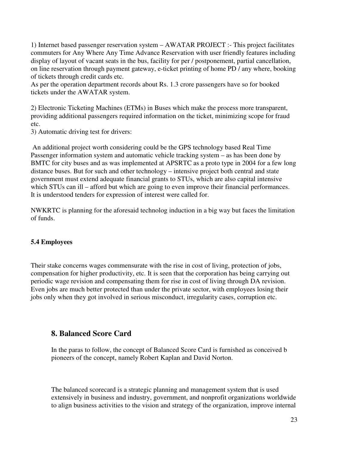1) Internet based passenger reservation system – AWATAR PROJECT :- This project facilitates commuters for Any Where Any Time Advance Reservation with user friendly features including display of layout of vacant seats in the bus, facility for per / postponement, partial cancellation, on line reservation through payment gateway, e-ticket printing of home PD / any where, booking of tickets through credit cards etc.

As per the operation department records about Rs. 1.3 crore passengers have so for booked tickets under the AWATAR system.

2) Electronic Ticketing Machines (ETMs) in Buses which make the process more transparent, providing additional passengers required information on the ticket, minimizing scope for fraud etc.

3) Automatic driving test for drivers:

 An additional project worth considering could be the GPS technology based Real Time Passenger information system and automatic vehicle tracking system – as has been done by BMTC for city buses and as was implemented at APSRTC as a proto type in 2004 for a few long distance buses. But for such and other technology – intensive project both central and state government must extend adequate financial grants to STUs, which are also capital intensive which STUs can ill – afford but which are going to even improve their financial performances. It is understood tenders for expression of interest were called for.

NWKRTC is planning for the aforesaid technolog induction in a big way but faces the limitation of funds.

#### **5.4 Employees**

Their stake concerns wages commensurate with the rise in cost of living, protection of jobs, compensation for higher productivity, etc. It is seen that the corporation has being carrying out periodic wage revision and compensating them for rise in cost of living through DA revision. Even jobs are much better protected than under the private sector, with employees losing their jobs only when they got involved in serious misconduct, irregularity cases, corruption etc.

### **8. Balanced Score Card**

In the paras to follow, the concept of Balanced Score Card is furnished as conceived b pioneers of the concept, namely Robert Kaplan and David Norton.

The balanced scorecard is a strategic planning and management system that is used extensively in business and industry, government, and nonprofit organizations worldwide to align business activities to the vision and strategy of the organization, improve internal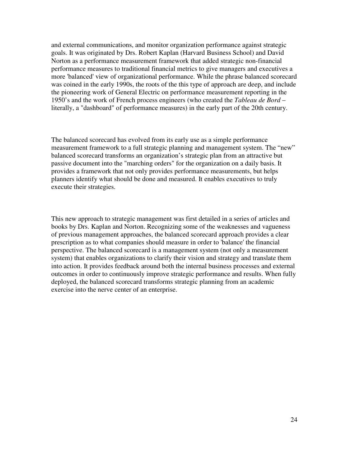and external communications, and monitor organization performance against strategic goals. It was originated by Drs. Robert Kaplan (Harvard Business School) and David Norton as a performance measurement framework that added strategic non-financial performance measures to traditional financial metrics to give managers and executives a more 'balanced' view of organizational performance. While the phrase balanced scorecard was coined in the early 1990s, the roots of the this type of approach are deep, and include the pioneering work of General Electric on performance measurement reporting in the 1950's and the work of French process engineers (who created the *Tableau de Bord* – literally, a "dashboard" of performance measures) in the early part of the 20th century.

The balanced scorecard has evolved from its early use as a simple performance measurement framework to a full strategic planning and management system. The "new" balanced scorecard transforms an organization's strategic plan from an attractive but passive document into the "marching orders" for the organization on a daily basis. It provides a framework that not only provides performance measurements, but helps planners identify what should be done and measured. It enables executives to truly execute their strategies.

This new approach to strategic management was first detailed in a series of articles and books by Drs. Kaplan and Norton. Recognizing some of the weaknesses and vagueness of previous management approaches, the balanced scorecard approach provides a clear prescription as to what companies should measure in order to 'balance' the financial perspective. The balanced scorecard is a management system (not only a measurement system) that enables organizations to clarify their vision and strategy and translate them into action. It provides feedback around both the internal business processes and external outcomes in order to continuously improve strategic performance and results. When fully deployed, the balanced scorecard transforms strategic planning from an academic exercise into the nerve center of an enterprise.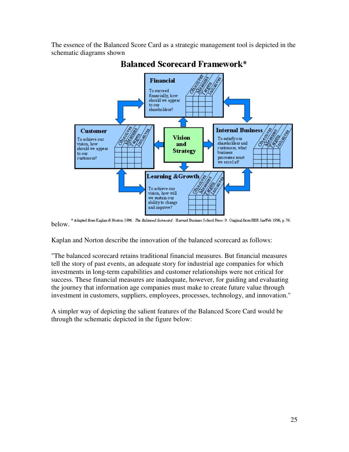The essence of the Balanced Score Card as a strategic management tool is depicted in the schematic diagrams shown



# **Balanced Scorecard Framework\***

\* Adapted from Kaplan & Norton. 1996. The Balanced Scorecard. Harvard Business School Press: 9. Original from HBR Jan/Feb 1996, p. 76. below.

Kaplan and Norton describe the innovation of the balanced scorecard as follows:

"The balanced scorecard retains traditional financial measures. But financial measures tell the story of past events, an adequate story for industrial age companies for which investments in long-term capabilities and customer relationships were not critical for success. These financial measures are inadequate, however, for guiding and evaluating the journey that information age companies must make to create future value through investment in customers, suppliers, employees, processes, technology, and innovation."

A simpler way of depicting the salient features of the Balanced Score Card would be through the schematic depicted in the figure below: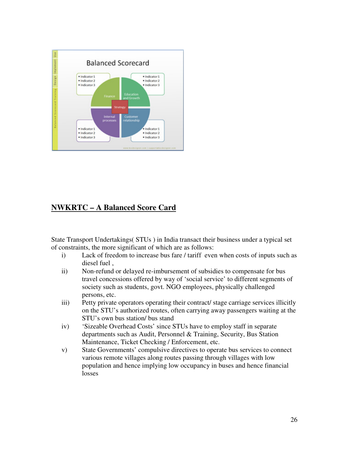

### **NWKRTC – A Balanced Score Card**

State Transport Undertakings( STUs ) in India transact their business under a typical set of constraints, the more significant of which are as follows:

- i) Lack of freedom to increase bus fare / tariff even when costs of inputs such as diesel fuel ,
- ii) Non-refund or delayed re-imbursement of subsidies to compensate for bus travel concessions offered by way of 'social service' to different segments of society such as students, govt. NGO employees, physically challenged persons, etc.
- iii) Petty private operators operating their contract/ stage carriage services illicitly on the STU's authorized routes, often carrying away passengers waiting at the STU's own bus station/ bus stand
- iv) 'Sizeable Overhead Costs' since STUs have to employ staff in separate departments such as Audit, Personnel & Training, Security, Bus Station Maintenance, Ticket Checking / Enforcement, etc.
- v) State Governments' compulsive directives to operate bus services to connect various remote villages along routes passing through villages with low population and hence implying low occupancy in buses and hence financial losses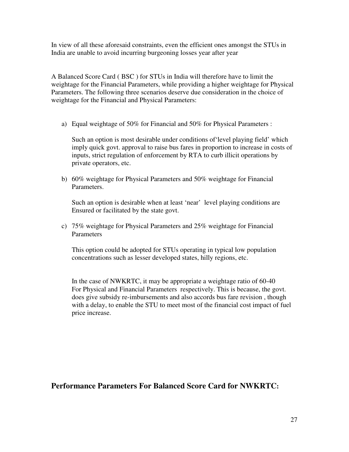In view of all these aforesaid constraints, even the efficient ones amongst the STUs in India are unable to avoid incurring burgeoning losses year after year

A Balanced Score Card ( BSC ) for STUs in India will therefore have to limit the weightage for the Financial Parameters, while providing a higher weightage for Physical Parameters. The following three scenarios deserve due consideration in the choice of weightage for the Financial and Physical Parameters:

a) Equal weightage of 50% for Financial and 50% for Physical Parameters :

Such an option is most desirable under conditions of'level playing field' which imply quick govt. approval to raise bus fares in proportion to increase in costs of inputs, strict regulation of enforcement by RTA to curb illicit operations by private operators, etc.

b) 60% weightage for Physical Parameters and 50% weightage for Financial Parameters.

Such an option is desirable when at least 'near' level playing conditions are Ensured or facilitated by the state govt.

c) 75% weightage for Physical Parameters and 25% weightage for Financial Parameters

This option could be adopted for STUs operating in typical low population concentrations such as lesser developed states, hilly regions, etc.

In the case of NWKRTC, it may be appropriate a weightage ratio of 60-40 For Physical and Financial Parameters respectively. This is because, the govt. does give subsidy re-imbursements and also accords bus fare revision , though with a delay, to enable the STU to meet most of the financial cost impact of fuel price increase.

### **Performance Parameters For Balanced Score Card for NWKRTC:**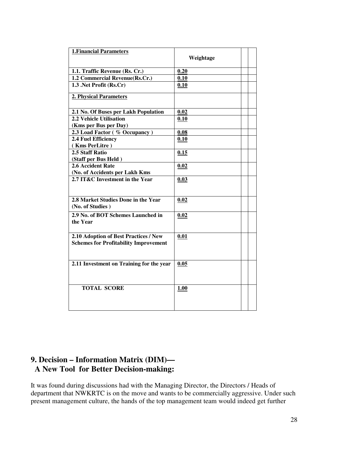| <b>1. Financial Parameters</b>               |           |  |
|----------------------------------------------|-----------|--|
|                                              | Weightage |  |
|                                              |           |  |
| 1.1. Traffic Revenue (Rs. Cr.)               | 0.20      |  |
| 1.2 Commercial Revenue(Rs.Cr.)               | 0.10      |  |
| 1.3 .Net Profit (Rs.Cr)                      | 0.10      |  |
| 2. Physical Parameters                       |           |  |
| 2.1 No. Of Buses per Lakh Population         | 0.02      |  |
| <b>2.2 Vehicle Utilisation</b>               | 0.10      |  |
| (Kms per Bus per Day)                        |           |  |
| 2.3 Load Factor (% Occupancy)                | 0.08      |  |
| 2.4 Fuel Efficiency                          | 0.10      |  |
| (Kms PerLitre)                               |           |  |
| 2.5 Staff Ratio                              | 0.15      |  |
| (Staff per Bus Held)                         |           |  |
| 2.6 Accident Rate                            | 0.02      |  |
| (No. of Accidents per Lakh Kms               |           |  |
| 2.7 IT&C Investment in the Year              | 0.03      |  |
|                                              |           |  |
|                                              |           |  |
| 2.8 Market Studies Done in the Year          | 0.02      |  |
| (No. of Studies)                             |           |  |
| 2.9 No. of BOT Schemes Launched in           | 0.02      |  |
| the Year                                     |           |  |
|                                              |           |  |
| 2.10 Adoption of Best Practices / New        | 0.01      |  |
| <b>Schemes for Profitability Improvement</b> |           |  |
|                                              |           |  |
|                                              |           |  |
|                                              |           |  |
| 2.11 Investment on Training for the year     | 0.05      |  |
|                                              |           |  |
|                                              |           |  |
| <b>TOTAL SCORE</b>                           | 1.00      |  |
|                                              |           |  |
|                                              |           |  |
|                                              |           |  |

### **9. Decision – Information Matrix (DIM)— A New Tool for Better Decision-making:**

It was found during discussions had with the Managing Director, the Directors / Heads of department that NWKRTC is on the move and wants to be commercially aggressive. Under such present management culture, the hands of the top management team would indeed get further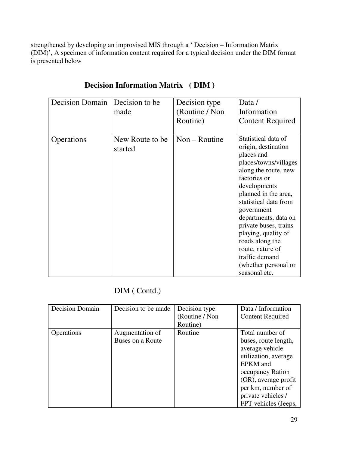strengthened by developing an improvised MIS through a ' Decision – Information Matrix (DIM)', A specimen of information content required for a typical decision under the DIM format is presented below

| <b>Decision Domain</b> | Decision to be<br>made      | Decision type<br>(Routine / Non<br>Routine) | Data /<br>Information<br><b>Content Required</b>                                                                                                                                                                                                                                                                                                                                   |
|------------------------|-----------------------------|---------------------------------------------|------------------------------------------------------------------------------------------------------------------------------------------------------------------------------------------------------------------------------------------------------------------------------------------------------------------------------------------------------------------------------------|
| Operations             | New Route to be.<br>started | $Non - R$ outine                            | Statistical data of<br>origin, destination<br>places and<br>places/towns/villages<br>along the route, new<br>factories or<br>developments<br>planned in the area,<br>statistical data from<br>government<br>departments, data on<br>private buses, trains<br>playing, quality of<br>roads along the<br>route, nature of<br>traffic demand<br>(whether personal or<br>seasonal etc. |

# **Decision Information Matrix ( DIM )**

## DIM ( Contd.)

| Decision Domain | Decision to be made | Decision type  | Data / Information      |
|-----------------|---------------------|----------------|-------------------------|
|                 |                     | (Routine / Non | <b>Content Required</b> |
|                 |                     | Routine)       |                         |
| Operations      | Augmentation of     | Routine        | Total number of         |
|                 | Buses on a Route    |                | buses, route length,    |
|                 |                     |                | average vehicle         |
|                 |                     |                | utilization, average    |
|                 |                     |                | EPKM and                |
|                 |                     |                | occupancy Ration        |
|                 |                     |                | (OR), average profit    |
|                 |                     |                | per km, number of       |
|                 |                     |                | private vehicles /      |
|                 |                     |                | FPT vehicles (Jeeps,    |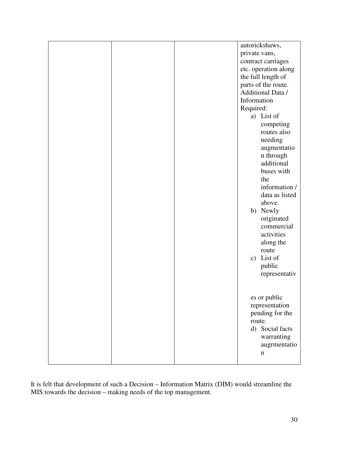|  | autorickshaws,       |
|--|----------------------|
|  |                      |
|  | private vans,        |
|  | contract carriages   |
|  | etc. operation along |
|  | the full length of   |
|  | parts of the route.  |
|  | Additional Data /    |
|  | Information          |
|  | Required:            |
|  | a) List of           |
|  | competing            |
|  | routes also          |
|  | needing              |
|  |                      |
|  | augmentatio          |
|  | n through            |
|  | additional           |
|  | buses with           |
|  | the                  |
|  | information /        |
|  | data as listed       |
|  | above.               |
|  | b) Newly             |
|  | originated           |
|  | commercial           |
|  | activities           |
|  | along the            |
|  | route                |
|  | c) List of           |
|  |                      |
|  | public               |
|  | representativ        |
|  |                      |
|  |                      |
|  | es or public         |
|  | representation       |
|  | pending for the      |
|  | route.               |
|  | d) Social facts      |
|  | warranting           |
|  | augrmentatio         |
|  | $\mathbf n$          |
|  |                      |
|  |                      |

It is felt that development of such a Decision – Information Matrix (DIM) would streamline the MIS towards the decision – making needs of the top management.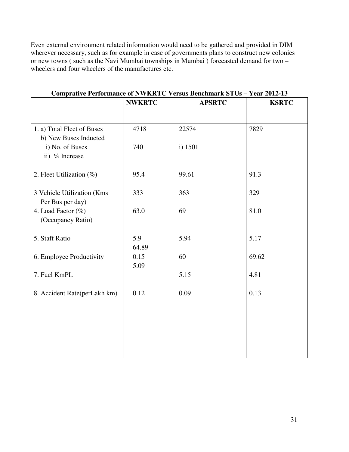Even external environment related information would need to be gathered and provided in DIM wherever necessary, such as for example in case of governments plans to construct new colonies or new towns ( such as the Navi Mumbai townships in Mumbai ) forecasted demand for two – wheelers and four wheelers of the manufactures etc.

|                              | <b>NWKRTC</b> | <b>APSRTC</b> | <b>KSRTC</b> |
|------------------------------|---------------|---------------|--------------|
|                              |               |               |              |
| 1. a) Total Fleet of Buses   | 4718          | 22574         | 7829         |
| b) New Buses Inducted        |               |               |              |
| i) No. of Buses              | 740           | i) 1501       |              |
| ii) % Increase               |               |               |              |
| 2. Fleet Utilization (%)     | 95.4          | 99.61         | 91.3         |
| 3 Vehicle Utilization (Kms   | 333           | 363           | 329          |
| Per Bus per day)             |               |               |              |
| 4. Load Factor (%)           | 63.0          | 69            | 81.0         |
| (Occupancy Ratio)            |               |               |              |
| 5. Staff Ratio               | 5.9           | 5.94          | 5.17         |
|                              | 64.89         |               |              |
| 6. Employee Productivity     | 0.15          | 60            | 69.62        |
|                              | 5.09          |               |              |
| 7. Fuel KmPL                 |               | 5.15          | 4.81         |
| 8. Accident Rate(perLakh km) | 0.12          | 0.09          | 0.13         |
|                              |               |               |              |
|                              |               |               |              |
|                              |               |               |              |
|                              |               |               |              |
|                              |               |               |              |
|                              |               |               |              |

#### **Comprative Performance of NWKRTC Versus Benchmark STUs – Year 2012-13**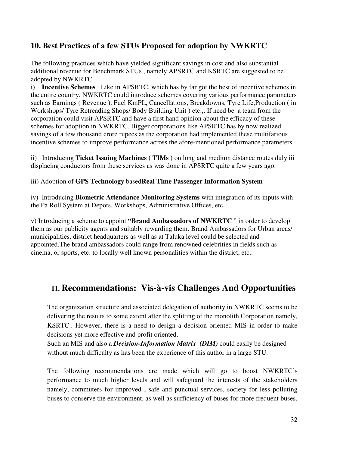### **10. Best Practices of a few STUs Proposed for adoption by NWKRTC**

The following practices which have yielded significant savings in cost and also substantial additional revenue for Benchmark STUs , namely APSRTC and KSRTC are suggested to be adopted by NWKRTC.

i) **Incentive Schemes** : Like in APSRTC, which has by far got the best of incentive schemes in the entire country, NWKRTC could introduce schemes covering various performance parameters such as Earnings ( Revenue ), Fuel KmPL, Cancellations, Breakdowns, Tyre Life,Production ( in Workshops/ Tyre Retreading Shops/ Body Building Unit ) etc.,. If need be a team from the corporation could visit APSRTC and have a first hand opinion about the efficacy of these schemes for adoption in NWKRTC. Bigger corporations like APSRTC has by now realized savings of a few thousand crore rupees as the corporation had implemented these multifarious incentive schemes to improve performance across the afore-mentioned performance parameters.

ii) Introducing **Ticket Issuing Machines ( TIMs )** on long and medium distance routes duly iii displacing conductors from these services as was done in APSRTC quite a few years ago.

iii) Adoption of **GPS Technology** based**Real Time Passenger Information System** 

iv) Introducing **Biometric Attendance Monitoring Systems** with integration of its inputs with the Pa Roll System at Depots, Workshops, Administrative Offices, etc.

v) Introducing a scheme to appoint **"Brand Ambassadors of NWKRTC** " in order to develop them as our publicity agents and suitably rewarding them. Brand Ambassadors for Urban areas/ municipalities, district headquarters as well as at Taluka level could be selected and appointed.The brand ambassadors could range from renowned celebrities in fields such as cinema, or sports, etc. to locally well known personalities within the district, etc..

# **11. Recommendations: Vis-à-vis Challenges And Opportunities**

The organization structure and associated delegation of authority in NWKRTC seems to be delivering the results to some extent after the splitting of the monolith Corporation namely, KSRTC.. However, there is a need to design a decision oriented MIS in order to make decisions yet more effective and profit oriented.

Such an MIS and also a *Decision-Information Matrix (DIM)* could easily be designed without much difficulty as has been the experience of this author in a large STU.

The following recommendations are made which will go to boost NWKRTC's performance to much higher levels and will safeguard the interests of the stakeholders namely, commuters for improved , safe and punctual services, society for less polluting buses to conserve the environment, as well as sufficiency of buses for more frequent buses,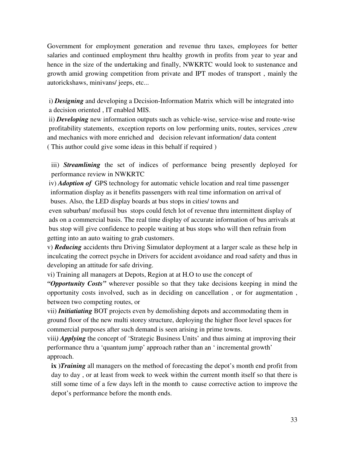Government for employment generation and revenue thru taxes, employees for better salaries and continued employment thru healthy growth in profits from year to year and hence in the size of the undertaking and finally, NWKRTC would look to sustenance and growth amid growing competition from private and IPT modes of transport , mainly the autorickshaws, minivans/ jeeps, etc...

 i) *Designing* and developing a Decision-Information Matrix which will be integrated into a decision oriented , IT enabled MIS.

 ii) *Developing* new information outputs such as vehicle-wise, service-wise and route-wise profitability statements, exception reports on low performing units, routes, services ,crew and mechanics with more enriched and decision relevant information/ data content ( This author could give some ideas in this behalf if required )

iii) *Streamlining* the set of indices of performance being presently deployed for performance review in NWKRTC

 iv) *Adoption of* GPS technology for automatic vehicle location and real time passenger information display as it benefits passengers with real time information on arrival of buses. Also, the LED display boards at bus stops in cities/ towns and

 even suburban/ mofussil bus stops could fetch lot of revenue thru intermittent display of ads on a commercial basis. The real time display of accurate information of bus arrivals at bus stop will give confidence to people waiting at bus stops who will then refrain from getting into an auto waiting to grab customers.

v) *Reducing* accidents thru Driving Simulator deployment at a larger scale as these help in inculcating the correct psyche in Drivers for accident avoidance and road safety and thus in developing an attitude for safe driving.

vi) Training all managers at Depots, Region at at H.O to use the concept of

*"Opportunity Costs"* wherever possible so that they take decisions keeping in mind the opportunity costs involved, such as in deciding on cancellation , or for augmentation , between two competing routes, or

 vii) *Initiatiating* BOT projects even by demolishing depots and accommodating them in ground floor of the new multi storey structure, deploying the higher floor level spaces for commercial purposes after such demand is seen arising in prime towns.

 viii*) Applying* the concept of 'Strategic Business Units' and thus aiming at improving their performance thru a 'quantum jump' approach rather than an ' incremental growth' approach.

**ix )***Training* all managers on the method of forecasting the depot's month end profit from day to day , or at least from week to week within the current month itself so that there is still some time of a few days left in the month to cause corrective action to improve the depot's performance before the month ends.